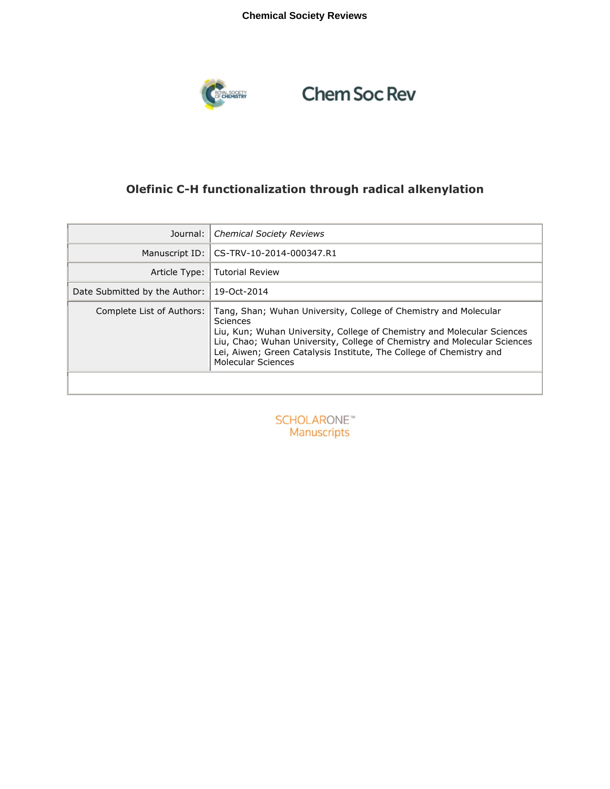## **Chemical Society Reviews**



# **Chem Soc Rev**

# **Olefinic C-H functionalization through radical alkenylation**

| Journal:                      | <b>Chemical Society Reviews</b>                                                                                                                                                                                                                                                                                                  |
|-------------------------------|----------------------------------------------------------------------------------------------------------------------------------------------------------------------------------------------------------------------------------------------------------------------------------------------------------------------------------|
| Manuscript ID:                | CS-TRV-10-2014-000347.R1                                                                                                                                                                                                                                                                                                         |
| Article Type:                 | <b>Tutorial Review</b>                                                                                                                                                                                                                                                                                                           |
| Date Submitted by the Author: | 19-Oct-2014                                                                                                                                                                                                                                                                                                                      |
| Complete List of Authors:     | Tang, Shan; Wuhan University, College of Chemistry and Molecular<br>Sciences<br>Liu, Kun; Wuhan University, College of Chemistry and Molecular Sciences<br>Liu, Chao; Wuhan University, College of Chemistry and Molecular Sciences<br>Lei, Aiwen; Green Catalysis Institute, The College of Chemistry and<br>Molecular Sciences |

**SCHOLARONE™** Manuscripts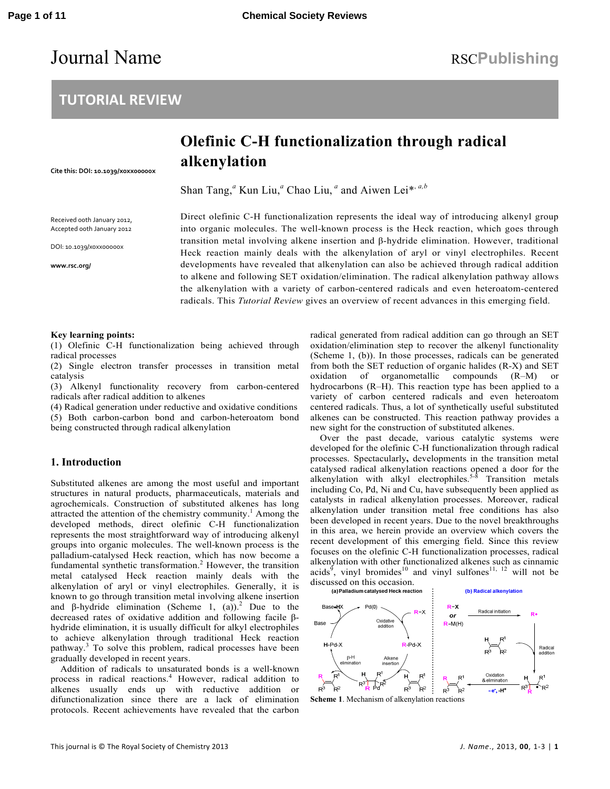# Journal Name RSCPublishing

# **TUTORIAL REVIEW**

# **Olefinic C-H functionalization through radical alkenylation**

**Cite this: DOI: 10.1039/x0xx00000x** 

Shan Tang,<sup>*a*</sup> Kun Liu,<sup>*a*</sup> Chao Liu,<sup>*a*</sup> and Aiwen Lei\*, *a,b* 

Received 00th January 2012, Accepted 00th January 2012

DOI: 10.1039/x0xx00000x

**www.rsc.org/** 

Direct olefinic C-H functionalization represents the ideal way of introducing alkenyl group into organic molecules. The well-known process is the Heck reaction, which goes through transition metal involving alkene insertion and β-hydride elimination. However, traditional Heck reaction mainly deals with the alkenylation of aryl or vinyl electrophiles. Recent developments have revealed that alkenylation can also be achieved through radical addition to alkene and following SET oxidation/elimination. The radical alkenylation pathway allows the alkenylation with a variety of carbon-centered radicals and even heteroatom-centered radicals. This *Tutorial Review* gives an overview of recent advances in this emerging field.

#### **Key learning points:**

(1) Olefinic C-H functionalization being achieved through radical processes

(2) Single electron transfer processes in transition metal catalysis

(3) Alkenyl functionality recovery from carbon-centered radicals after radical addition to alkenes

(4) Radical generation under reductive and oxidative conditions (5) Both carbon-carbon bond and carbon-heteroatom bond being constructed through radical alkenylation

### **1. Introduction**

Substituted alkenes are among the most useful and important structures in natural products, pharmaceuticals, materials and agrochemicals. Construction of substituted alkenes has long attracted the attention of the chemistry community.<sup>1</sup> Among the developed methods, direct olefinic C-H functionalization represents the most straightforward way of introducing alkenyl groups into organic molecules. The well-known process is the palladium-catalysed Heck reaction, which has now become a fundamental synthetic transformation.<sup>2</sup> However, the transition metal catalysed Heck reaction mainly deals with the alkenylation of aryl or vinyl electrophiles. Generally, it is known to go through transition metal involving alkene insertion and  $\beta$ -hydride elimination (Scheme 1, (a)).<sup>2</sup> Due to the decreased rates of oxidative addition and following facile βhydride elimination, it is usually difficult for alkyl electrophiles to achieve alkenylation through traditional Heck reaction pathway.<sup>3</sup> To solve this problem, radical processes have been gradually developed in recent years.

Addition of radicals to unsaturated bonds is a well-known process in radical reactions.<sup>4</sup> However, radical addition to alkenes usually ends up with reductive addition or difunctionalization since there are a lack of elimination protocols. Recent achievements have revealed that the carbon

radical generated from radical addition can go through an SET oxidation/elimination step to recover the alkenyl functionality (Scheme 1, (b)). In those processes, radicals can be generated from both the SET reduction of organic halides (R-X) and SET oxidation of organometallic compounds (R–M) or hydrocarbons (R–H). This reaction type has been applied to a variety of carbon centered radicals and even heteroatom centered radicals. Thus, a lot of synthetically useful substituted alkenes can be constructed. This reaction pathway provides a new sight for the construction of substituted alkenes.

Over the past decade, various catalytic systems were developed for the olefinic C-H functionalization through radical processes. Spectacularly**,** developments in the transition metal catalysed radical alkenylation reactions opened a door for the alkenylation with alkyl electrophiles.<sup>5-8</sup> Transition metals including Co, Pd, Ni and Cu, have subsequently been applied as catalysts in radical alkenylation processes. Moreover, radical alkenylation under transition metal free conditions has also been developed in recent years. Due to the novel breakthroughs in this area, we herein provide an overview which covers the recent development of this emerging field. Since this review focuses on the olefinic C-H functionalization processes, radical alkenylation with other functionalized alkenes such as cinnamic acids<sup>9</sup>, vinyl bromides<sup>10</sup> and vinyl sulfones<sup>11, 12</sup> will not be

discussed on this occasion.<br>(a) Palladium catalysed Heck reaction



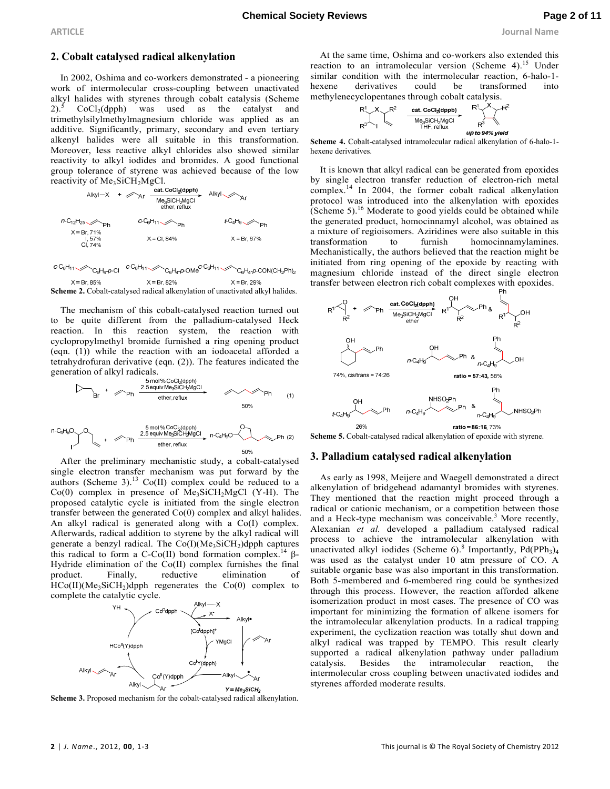## **2. Cobalt catalysed radical alkenylation**

In 2002, Oshima and co-workers demonstrated - a pioneering work of intermolecular cross-coupling between unactivated alkyl halides with styrenes through cobalt catalysis (Scheme  $2)$ .<sup>5</sup>  $CoCl<sub>2</sub>(dpph)$  was used as the catalyst and trimethylsilylmethylmagnesium chloride was applied as an additive. Significantly, primary, secondary and even tertiary alkenyl halides were all suitable in this transformation. Moreover, less reactive alkyl chlorides also showed similar reactivity to alkyl iodides and bromides. A good functional group tolerance of styrene was achieved because of the low reactivity of  $Me<sub>3</sub>SiCH<sub>2</sub>MgCl$ .<br>cat. CoCl<sub>2</sub>(dpph)



 $c - C_6 H_{11} \simeq$ C<sub>6</sub>H<sub>4</sub>-p-Cl <sup>c-C<sub>6</sub>H<sub>11</sub> / C<sub>6</sub>H<sub>4</sub>-p-OMe<sup>c-C<sub>6</sub>H<sub>11</sub> /</sup></sup> C<sub>6</sub>H<sub>4</sub>-p-CON(CH<sub>2</sub>Ph)<sub>2</sub>  $X = Br. 82%$  $X = Br. 85%$  $X = Br. 29%$ 

**Scheme 2.** Cobalt-catalysed radical alkenylation of unactivated alkyl halides.

The mechanism of this cobalt-catalysed reaction turned out to be quite different from the palladium-catalysed Heck reaction. In this reaction system, the reaction with cyclopropylmethyl bromide furnished a ring opening product (eqn. (1)) while the reaction with an iodoacetal afforded a tetrahydrofuran derivative (eqn. (2)). The features indicated the generation of alkyl radicals.

$$
B_{r} + \n\mathcal{D}_{Ph} \xrightarrow{\text{5 mol % CoCb(dpph)} \atop \text{50~Wes-SiCH-MgCl}} 50\% \n\text{ph} \t(1)
$$

$$
n\text{-}G_4H_9O
$$
  $^{\circ}$   $\rightarrow$   $Ph$  
$$
\xrightarrow{5 \text{ mol % CoC1a(pnh)} \atop 2.5 \text{ equiv } Me_3SiCH_2MgCl} n\text{-}G_4H_9O
$$
  $Ph$  (2)  $^{5}P_1$   $\xrightarrow{2.5 \text{ equiv } Me_3SiCH_2MgCl} n\text{-}G_4H_9O$ 

After the preliminary mechanistic study, a cobalt-catalysed single electron transfer mechanism was put forward by the authors (Scheme 3).<sup>13</sup> Co(II) complex could be reduced to a  $Co(0)$  complex in presence of  $Me<sub>3</sub>SiCH<sub>2</sub>MgCl$  (Y-H). The proposed catalytic cycle is initiated from the single electron transfer between the generated Co(0) complex and alkyl halides. An alkyl radical is generated along with a Co(I) complex. Afterwards, radical addition to styrene by the alkyl radical will generate a benzyl radical. The  $Co(I)(Me<sub>3</sub>SiCH<sub>2</sub>)$ dpph captures this radical to form a C-Co(II) bond formation complex.<sup>14</sup> β-Hydride elimination of the Co(II) complex furnishes the final product. Finally, reductive elimination of Finally, reductive elimination of  $HCo(II)(Me<sub>3</sub>SiCH<sub>2</sub>)$ dpph regenerates the  $Co(0)$  complex to complete the catalytic cycle.



**Scheme 3.** Proposed mechanism for the cobalt-catalysed radical alkenylation.

At the same time, Oshima and co-workers also extended this reaction to an intramolecular version (Scheme 4).<sup>15</sup> Under similar condition with the intermolecular reaction, 6-halo-1 hexene derivatives could be transformed into methylenecyclopentanes through cobalt catalysis.



**Scheme 4.** Cobalt-catalysed intramolecular radical alkenylation of 6-halo-1 hexene derivatives.

It is known that alkyl radical can be generated from epoxides by single electron transfer reduction of electron-rich metal complex.<sup>14</sup> In 2004, the former cobalt radical alkenylation protocol was introduced into the alkenylation with epoxides (Scheme 5). $16$  Moderate to good yields could be obtained while the generated product, homocinnamyl alcohol, was obtained as a mixture of regioisomers. Aziridines were also suitable in this transformation to furnish homocinnamylamines. Mechanistically, the authors believed that the reaction might be initiated from ring opening of the epoxide by reacting with magnesium chloride instead of the direct single electron transfer between electron rich cobalt complexes with epoxides.



**Scheme 5.** Cobalt-catalysed radical alkenylation of epoxide with styrene.

### **3. Palladium catalysed radical alkenylation**

As early as 1998, Meijere and Waegell demonstrated a direct alkenylation of bridgehead adamantyl bromides with styrenes. They mentioned that the reaction might proceed through a radical or cationic mechanism, or a competition between those and a Heck-type mechanism was conceivable.<sup>3</sup> More recently, Alexanian *et al.* developed a palladium catalysed radical process to achieve the intramolecular alkenylation with unactivated alkyl iodides (Scheme 6).<sup>8</sup> Importantly, Pd(PPh<sub>3</sub>)<sub>4</sub> was used as the catalyst under 10 atm pressure of CO. A suitable organic base was also important in this transformation. Both 5-membered and 6-membered ring could be synthesized through this process. However, the reaction afforded alkene isomerization product in most cases. The presence of CO was important for minimizing the formation of alkene isomers for the intramolecular alkenylation products. In a radical trapping experiment, the cyclization reaction was totally shut down and alkyl radical was trapped by TEMPO. This result clearly supported a radical alkenylation pathway under palladium catalysis. Besides the intramolecular reaction, the intermolecular cross coupling between unactivated iodides and styrenes afforded moderate results.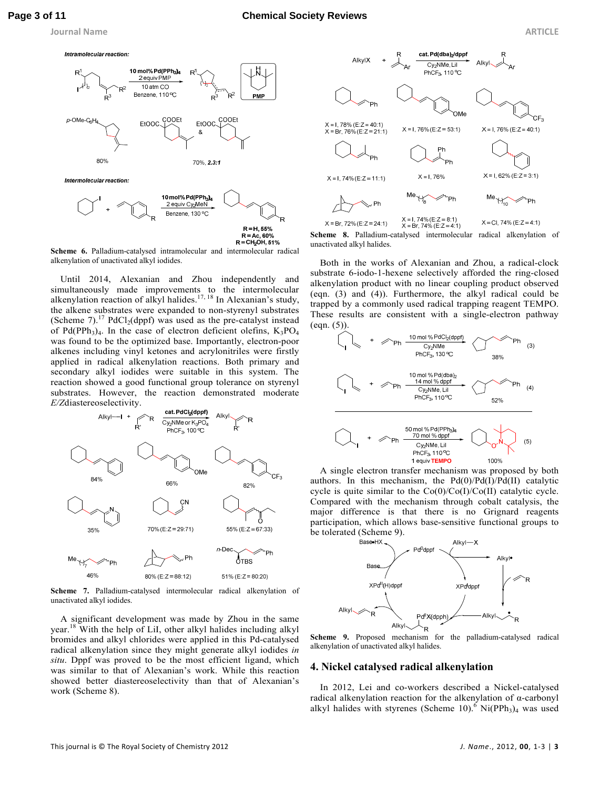

 $R = CH<sub>2</sub>OH, 51%$ **Scheme 6.** Palladium-catalysed intramolecular and intermolecular radical alkenylation of unactivated alkyl iodides.

Until 2014, Alexanian and Zhou independently and simultaneously made improvements to the intermolecular alkenylation reaction of alkyl halides.<sup>17, 18</sup> In Alexanian's study, the alkene substrates were expanded to non-styrenyl substrates (Scheme 7).<sup>17</sup> PdCl<sub>2</sub>(dppf) was used as the pre-catalyst instead of Pd(PPh<sub>3</sub>)<sub>4</sub>. In the case of electron deficient olefins,  $K_3PO_4$ was found to be the optimized base. Importantly, electron-poor alkenes including vinyl ketones and acrylonitriles were firstly applied in radical alkenylation reactions. Both primary and secondary alkyl iodides were suitable in this system. The reaction showed a good functional group tolerance on styrenyl substrates. However, the reaction demonstrated moderate *E/Z*diastereoselectivity.



**Scheme 7.** Palladium-catalysed intermolecular radical alkenylation of unactivated alkyl iodides.

A significant development was made by Zhou in the same year.<sup>18</sup> With the help of LiI, other alkyl halides including alkyl bromides and alkyl chlorides were applied in this Pd-catalysed radical alkenylation since they might generate alkyl iodides *in situ*. Dppf was proved to be the most efficient ligand, which was similar to that of Alexanian's work. While this reaction showed better diastereoselectivity than that of Alexanian's work (Scheme 8).



**Scheme 8.** Palladium-catalysed intermolecular radical alkenylation of unactivated alkyl halides.

Both in the works of Alexanian and Zhou, a radical-clock substrate 6-iodo-1-hexene selectively afforded the ring-closed alkenylation product with no linear coupling product observed (eqn. (3) and (4)). Furthermore, the alkyl radical could be trapped by a commonly used radical trapping reagent TEMPO. These results are consistent with a single-electron pathway  $(eqn. (5))$ 



A single electron transfer mechanism was proposed by both authors. In this mechanism, the  $Pd(0)/Pd(I)/Pd(II)$  catalytic cycle is quite similar to the  $Co(0)/Co(1)/Co(II)$  catalytic cycle. Compared with the mechanism through cobalt catalysis, the major difference is that there is no Grignard reagents participation, which allows base-sensitive functional groups to be tolerated (Scheme 9).<br>Base-HX



**Scheme 9.** Proposed mechanism for the palladium-catalysed radical alkenylation of unactivated alkyl halides.

#### **4. Nickel catalysed radical alkenylation**

In 2012, Lei and co-workers described a Nickel-catalysed radical alkenylation reaction for the alkenylation of α-carbonyl alkyl halides with styrenes (Scheme 10).<sup>6</sup> Ni(PPh<sub>3</sub>)<sub>4</sub> was used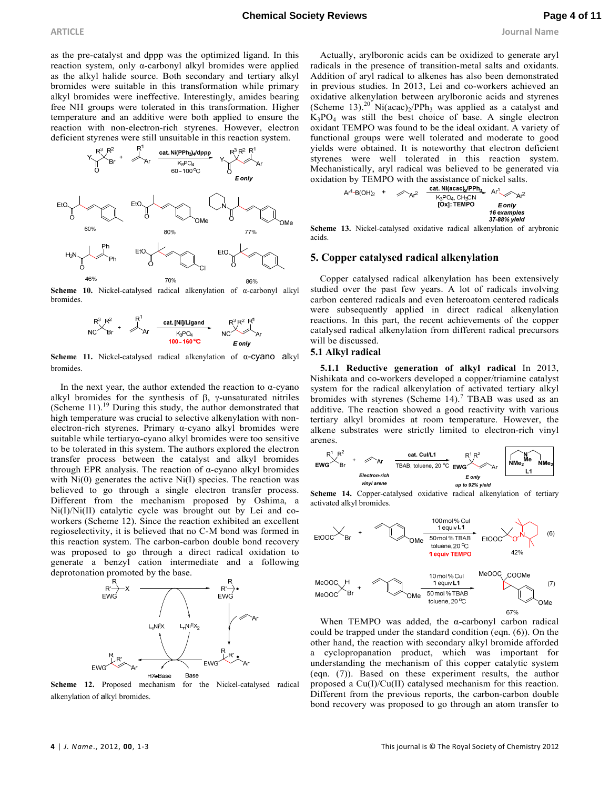as the pre-catalyst and dppp was the optimized ligand. In this reaction system, only α-carbonyl alkyl bromides were applied as the alkyl halide source. Both secondary and tertiary alkyl bromides were suitable in this transformation while primary alkyl bromides were ineffective. Interestingly, amides bearing free NH groups were tolerated in this transformation. Higher temperature and an additive were both applied to ensure the reaction with non-electron-rich styrenes. However, electron deficient styrenes were still unsuitable in this reaction system.



**Scheme 10.** Nickel-catalysed radical alkenylation of α-carbonyl alkyl bromides.



**Scheme 11.** Nickel-catalysed radical alkenylation of α-cyano alkyl bromides.

In the next year, the author extended the reaction to α-cyano alkyl bromides for the synthesis of  $β$ , γ-unsaturated nitriles (Scheme 11).<sup>19</sup> During this study, the author demonstrated that high temperature was crucial to selective alkenylation with nonelectron-rich styrenes. Primary α-cyano alkyl bromides were suitable while tertiaryα-cyano alkyl bromides were too sensitive to be tolerated in this system. The authors explored the electron transfer process between the catalyst and alkyl bromides through EPR analysis. The reaction of α-cyano alkyl bromides with  $Ni(0)$  generates the active  $Ni(I)$  species. The reaction was believed to go through a single electron transfer process. Different from the mechanism proposed by Oshima, a Ni(I)/Ni(II) catalytic cycle was brought out by Lei and coworkers (Scheme 12). Since the reaction exhibited an excellent regioselectivity, it is believed that no C-M bond was formed in this reaction system. The carbon-carbon double bond recovery was proposed to go through a direct radical oxidation to generate a benzyl cation intermediate and a following deprotonation promoted by the base.



**Scheme 12.** Proposed mechanism for the Nickel-catalysed radical alkenylation of alkyl bromides.

Actually, arylboronic acids can be oxidized to generate aryl radicals in the presence of transition-metal salts and oxidants. Addition of aryl radical to alkenes has also been demonstrated in previous studies. In 2013, Lei and co-workers achieved an oxidative alkenylation between arylboronic acids and styrenes (Scheme 13).<sup>20</sup> Ni(acac)<sub>2</sub>/PPh<sub>3</sub> was applied as a catalyst and  $K_3PO_4$  was still the best choice of base. A single electron oxidant TEMPO was found to be the ideal oxidant. A variety of functional groups were well tolerated and moderate to good yields were obtained. It is noteworthy that electron deficient styrenes were well tolerated in this reaction system. Mechanistically, aryl radical was believed to be generated via oxidation by TEMPO with the assistance of nickel salts.

$$
Ar^1-B(OH)_2 + \n\mathcal{A}r^2 \n\begin{array}{ccc}\n\text{cat. Ni}(acac) & PPH_3 \\
\hline\n\text{K}_2PQ_4, CH_3CN & Eonly \\
\text{[Ox]: TEMPO} & \text{f} \text{exanplies} \\
\text{37-88% yield}\n\end{array}
$$

**Scheme 13.** Nickel-catalysed oxidative radical alkenylation of arybronic acids.

## **5. Copper catalysed radical alkenylation**

Copper catalysed radical alkenylation has been extensively studied over the past few years. A lot of radicals involving carbon centered radicals and even heteroatom centered radicals were subsequently applied in direct radical alkenylation reactions. In this part, the recent achievements of the copper catalysed radical alkenylation from different radical precursors will be discussed.

#### **5.1 Alkyl radical**

**5.1.1 Reductive generation of alkyl radical** In 2013, Nishikata and co-workers developed a copper/triamine catalyst system for the radical alkenylation of activated tertiary alkyl bromides with styrenes (Scheme  $14$ ).<sup>7</sup> TBAB was used as an additive. The reaction showed a good reactivity with various tertiary alkyl bromides at room temperature. However, the alkene substrates were strictly limited to electron-rich vinyl arenes.



**Scheme 14.** Copper-catalysed oxidative radical alkenylation of tertiary activated alkyl bromides.





When TEMPO was added, the  $\alpha$ -carbonyl carbon radical could be trapped under the standard condition (eqn. (6)). On the other hand, the reaction with secondary alkyl bromide afforded a cyclopropanation product, which was important for understanding the mechanism of this copper catalytic system (eqn. (7)). Based on these experiment results, the author proposed a Cu(I)/Cu(II) catalysed mechanism for this reaction. Different from the previous reports, the carbon-carbon double bond recovery was proposed to go through an atom transfer to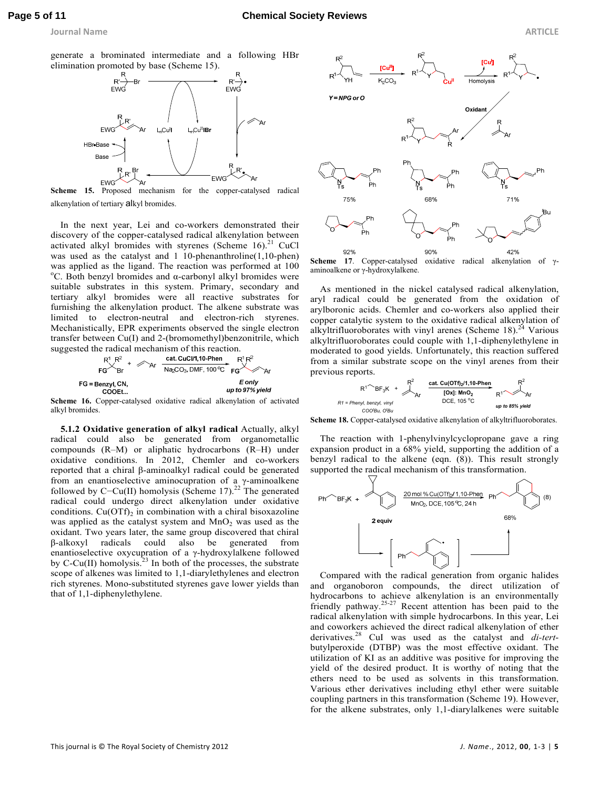generate a brominated intermediate and a following HBr elimination promoted by base (Scheme 15).



**Scheme 15.** Proposed mechanism for the copper-catalysed radical alkenylation of tertiary alkyl bromides.

In the next year, Lei and co-workers demonstrated their discovery of the copper-catalysed radical alkenylation between activated alkyl bromides with styrenes (Scheme  $16$ ).<sup>21</sup> CuCl was used as the catalyst and 1 10-phenanthroline(1,10-phen) was applied as the ligand. The reaction was performed at 100 <sup>o</sup>C. Both benzyl bromides and  $\alpha$ -carbonyl alkyl bromides were suitable substrates in this system. Primary, secondary and tertiary alkyl bromides were all reactive substrates for furnishing the alkenylation product. The alkene substrate was limited to electron-neutral and electron-rich styrenes. Mechanistically, EPR experiments observed the single electron transfer between Cu(I) and 2-(bromomethyl)benzonitrile, which



**Scheme 16.** Copper-catalysed oxidative radical alkenylation of activated alkyl bromides.

**5.1.2 Oxidative generation of alkyl radical** Actually, alkyl radical could also be generated from organometallic compounds (R–M) or aliphatic hydrocarbons (R–H) under oxidative conditions. In 2012, Chemler and co-workers reported that a chiral β-aminoalkyl radical could be generated from an enantioselective aminocupration of a  $\gamma$ -aminoalkene followed by C−Cu(II) homolysis (Scheme 17).<sup>22</sup> The generated radical could undergo direct alkenylation under oxidative conditions.  $Cu(OTf)_2$  in combination with a chiral bisoxazoline was applied as the catalyst system and  $MnO<sub>2</sub>$  was used as the oxidant. Two years later, the same group discovered that chiral β-alkoxyl radicals could also be generated from enantioselective oxycupration of a γ-hydroxylalkene followed by C-Cu(II) homolysis.<sup>23</sup> In both of the processes, the substrate scope of alkenes was limited to 1,1-diarylethylenes and electron rich styrenes. Mono-substituted styrenes gave lower yields than that of 1,1-diphenylethylene.



**Scheme 17**. Copper-catalysed oxidative radical alkenylation of γaminoalkene or γ-hydroxylalkene.

As mentioned in the nickel catalysed radical alkenylation, aryl radical could be generated from the oxidation of arylboronic acids. Chemler and co-workers also applied their copper catalytic system to the oxidative radical alkenylation of alkyltrifluoroborates with vinyl arenes (Scheme 18).<sup>24</sup> Various alkyltrifluoroborates could couple with 1,1-diphenylethylene in moderated to good yields. Unfortunately, this reaction suffered from a similar substrate scope on the vinyl arenes from their previous reports.

$$
R1 \cong \text{Pheny, benzyl, vinyl} \xrightarrow{\text{R}^2} \text{At} \xrightarrow{\text{Cat. Cu(OTf)}_2/1, 10\text{-Phen}} \text{R}^2
$$
\n
$$
R1 \cong \text{Pheny, benzyl, vinyl} \xrightarrow{\text{COC'B}} \text{Ar} \xrightarrow{\text{DCE, 105 °C}} \text{R}^2
$$
\n
$$
\xrightarrow{\text{COC'Bu, O'Bu}} \text{COC'Bu, O'Bu}
$$

**Scheme 18.** Copper-catalysed oxidative alkenylation of alkyltrifluoroborates.

The reaction with 1-phenylvinylcyclopropane gave a ring expansion product in a 68% yield, supporting the addition of a benzyl radical to the alkene (eqn. (8)). This result strongly supported the radical mechanism of this transformation.



Compared with the radical generation from organic halides and organoboron compounds, the direct utilization of hydrocarbons to achieve alkenylation is an environmentally friendly pathway.<sup>25-27</sup> Recent attention has been paid to the radical alkenylation with simple hydrocarbons. In this year, Lei and coworkers achieved the direct radical alkenylation of ether derivatives.<sup>28</sup> CuI was used as the catalyst and *di-tert*butylperoxide (DTBP) was the most effective oxidant. The utilization of KI as an additive was positive for improving the yield of the desired product. It is worthy of noting that the ethers need to be used as solvents in this transformation. Various ether derivatives including ethyl ether were suitable coupling partners in this transformation (Scheme 19). However, for the alkene substrates, only 1,1-diarylalkenes were suitable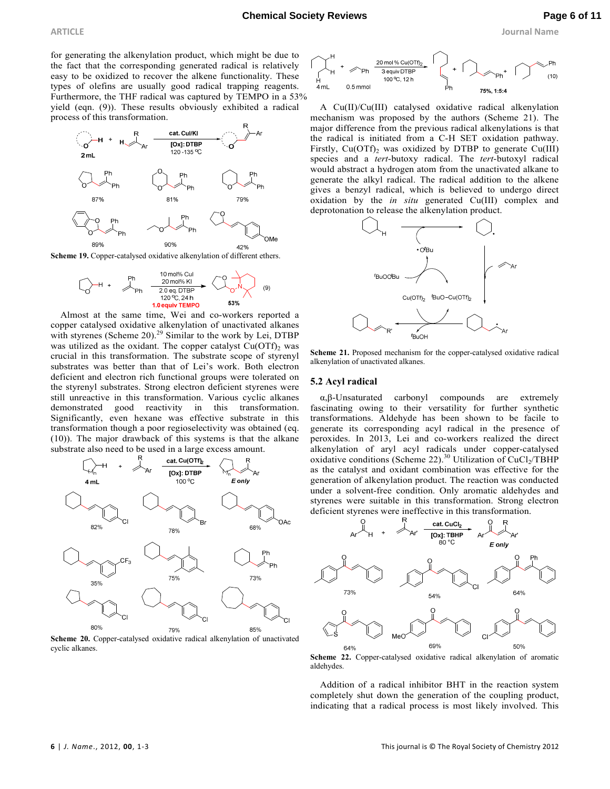**ARTICLE Journal Name**

for generating the alkenylation product, which might be due to the fact that the corresponding generated radical is relatively easy to be oxidized to recover the alkene functionality. These types of olefins are usually good radical trapping reagents. Furthermore, the THF radical was captured by TEMPO in a 53% yield (eqn. (9)). These results obviously exhibited a radical process of this transformation.



Scheme 19. Copper-catalysed oxidative alkenylation of different ethers.

$$
\begin{array}{|c|c|c|c|}\hline & & & 10 \text{ mol}\% \text{ Cul} & & & & \\ \hline & & & 20 \text{ mol}\% \text{ Kl} & & & & \\ \hline & & 20 \text{ eq. DTBP} & & & & & \\ \hline & & 120 \text{ eq. DTBP} & & & & & \\ & & 10 \text{ equiv TEMPO} & & & 53\% \\ \hline \end{array} \hspace{0.2cm} \begin{array}{|c|c|c|c|}\hline \cr & & & \cr & & & \cr & & & \cr & & & & \cr \hline \cr & & & & & \cr \hline \cr & & & & & \cr \hline \cr & & & & & \cr \hline \cr & & & & & \cr \hline \cr & & & & & \cr \hline \cr & & & & & \cr \hline \cr & & & & & \cr \hline \cr & & & & & \cr \hline \cr & & & & & \cr \hline \cr & & & & & \cr \hline \cr & & & & & \cr \hline \cr & & & & & \cr \hline \cr & & & & & \cr \hline \cr & & & & & \cr \hline \cr & & & & & \cr \hline \cr & & & & & \cr \hline \cr & & & & & \cr \hline \cr & & & & & \cr \hline \cr & & & & & \cr \hline \cr & & & & & \cr \hline \cr & & & & & \cr \hline \cr & & & & & \cr \hline \cr & & & & & \cr \hline \cr & & & & & \cr \hline \cr & & & & & \cr \hline \cr & & & & & \cr \hline \cr & & & & & \cr \hline \cr & & & & & \cr \hline \cr & & & & & \cr \hline \cr & & & & & \cr \hline \cr & & & & & \cr \hline \cr & & & & & \cr \hline \cr & & & & & \cr \hline \cr & & & & & \cr \hline \cr & & & & & \cr \hline \cr & & & & & \cr \hline \cr & & & & & \cr \hline \cr & & & & & \cr \hline \cr & & & & & \cr \hline \cr & & & & & \cr \hline \cr & & & & & \cr \hline \cr & & & & & \cr \hline \cr & & & & & \cr \hline \cr & & & & & \cr \hline \cr & & & & & \cr \hline \cr & & & & & \cr \hline \cr & & & & & \cr \hline
$$

Almost at the same time, Wei and co-workers reported a copper catalysed oxidative alkenylation of unactivated alkanes with styrenes (Scheme 20).<sup>29</sup> Similar to the work by Lei, DTBP was utilized as the oxidant. The copper catalyst  $Cu(OTf)_2$  was crucial in this transformation. The substrate scope of styrenyl substrates was better than that of Lei's work. Both electron deficient and electron rich functional groups were tolerated on the styrenyl substrates. Strong electron deficient styrenes were still unreactive in this transformation. Various cyclic alkanes demonstrated good reactivity in this transformation. Significantly, even hexane was effective substrate in this transformation though a poor regioselectivity was obtained (eq. (10)). The major drawback of this systems is that the alkane substrate also need to be used in a large excess amount.



**Scheme 20.** Copper-catalysed oxidative radical alkenylation of unactivated cyclic alkanes.



A Cu(II)/Cu(III) catalysed oxidative radical alkenylation mechanism was proposed by the authors (Scheme 21). The major difference from the previous radical alkenylations is that the radical is initiated from a C-H SET oxidation pathway. Firstly,  $Cu(OTf)_{2}$  was oxidized by DTBP to generate  $Cu(III)$ species and a *tert*-butoxy radical. The *tert*-butoxyl radical would abstract a hydrogen atom from the unactivated alkane to generate the alkyl radical. The radical addition to the alkene gives a benzyl radical, which is believed to undergo direct oxidation by the *in situ* generated Cu(III) complex and deprotonation to release the alkenylation product.



**Scheme 21.** Proposed mechanism for the copper-catalysed oxidative radical alkenylation of unactivated alkanes.

#### **5.2 Acyl radical**

α,β-Unsaturated carbonyl compounds are extremely fascinating owing to their versatility for further synthetic transformations. Aldehyde has been shown to be facile to generate its corresponding acyl radical in the presence of peroxides. In 2013, Lei and co-workers realized the direct alkenylation of aryl acyl radicals under copper-catalysed oxidative conditions (Scheme 22).<sup>30</sup> Utilization of  $\text{CuCl}_2/\text{TBHP}$ as the catalyst and oxidant combination was effective for the generation of alkenylation product. The reaction was conducted under a solvent-free condition. Only aromatic aldehydes and styrenes were suitable in this transformation. Strong electron deficient styrenes were ineffective in this transformation.



**Scheme 22.** Copper-catalysed oxidative radical alkenylation of aromatic aldehydes.

Addition of a radical inhibitor BHT in the reaction system completely shut down the generation of the coupling product, indicating that a radical process is most likely involved. This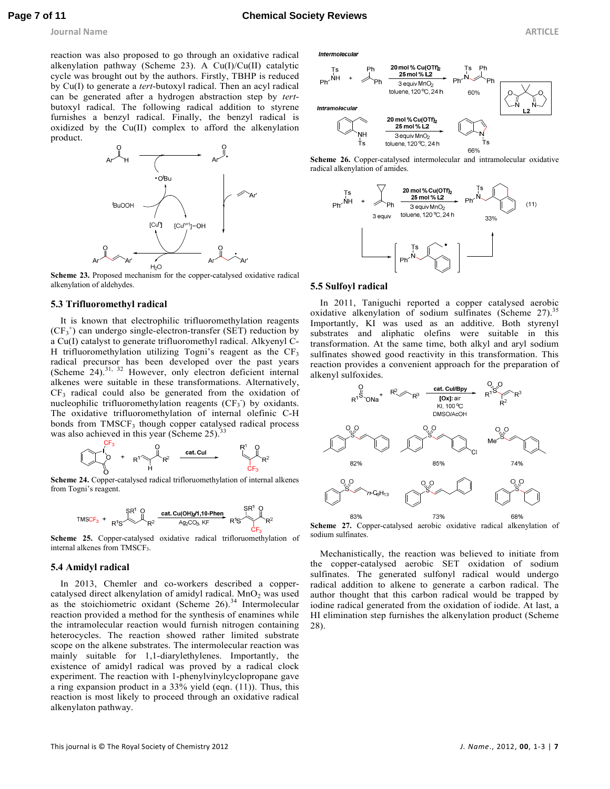**Journal Name ARTICLE** 

reaction was also proposed to go through an oxidative radical alkenylation pathway (Scheme 23). A Cu(I)/Cu(II) catalytic cycle was brought out by the authors. Firstly, TBHP is reduced by Cu(I) to generate a *tert*-butoxyl radical. Then an acyl radical can be generated after a hydrogen abstraction step by *tert*butoxyl radical. The following radical addition to styrene furnishes a benzyl radical. Finally, the benzyl radical is oxidized by the Cu(II) complex to afford the alkenylation product.



**Scheme 23.** Proposed mechanism for the copper-catalysed oxidative radical alkenylation of aldehydes.

#### **5.3 Trifluoromethyl radical**

It is known that electrophilic trifluoromethylation reagents  $(CF_3^+)$  can undergo single-electron-transfer (SET) reduction by a Cu(I) catalyst to generate trifluoromethyl radical. Alkyenyl C-H trifluoromethylation utilizing Togni's reagent as the  $CF_3$ radical precursor has been developed over the past years (Scheme  $24$ ).<sup>31, 32</sup> However, only electron deficient internal alkenes were suitable in these transformations. Alternatively,  $CF<sub>3</sub>$  radical could also be generated from the oxidation of nucleophilic trifluoromethylation reagents  $(CF_3)$  by oxidants. The oxidative trifluoromethylation of internal olefinic C-H bonds from TMSCF<sub>3</sub> though copper catalysed radical process was also achieved in this year (Scheme  $25$ ).<sup>33</sup>

**Scheme 24.** Copper-catalysed radical trifloruomethylation of internal alkenes from Togni's reagent.

$$
\text{TMSCF}_3 + \underbrace{SR^1 \text{ O}}_{R^1S} \underbrace{ \text{cat. Cu(OH)}_2 \text{M}, \text{10-Phen}}_{\text{Ag}_2\text{CO}_3,\text{KF}} \underbrace{SR^1 \text{ O}}_{R^1S} R^2
$$

**Scheme 25.** Copper-catalysed oxidative radical trifloruomethylation of internal alkenes from TMSCF<sub>3</sub>.

#### **5.4 Amidyl radical**

In 2013, Chemler and co-workers described a coppercatalysed direct alkenylation of amidyl radical. MnO<sub>2</sub> was used as the stoichiometric oxidant (Scheme  $26$ ).<sup>34</sup> Intermolecular reaction provided a method for the synthesis of enamines while the intramolecular reaction would furnish nitrogen containing heterocycles. The reaction showed rather limited substrate scope on the alkene substrates. The intermolecular reaction was mainly suitable for 1,1-diarylethylenes. Importantly, the existence of amidyl radical was proved by a radical clock experiment. The reaction with 1-phenylvinylcyclopropane gave a ring expansion product in a 33% yield (eqn. (11)). Thus, this reaction is most likely to proceed through an oxidative radical alkenylaton pathway.

Intermolecular







#### **5.5 Sulfoyl radical**

In 2011, Taniguchi reported a copper catalysed aerobic oxidative alkenylation of sodium sulfinates (Scheme 27).<sup>35</sup> Importantly, KI was used as an additive. Both styrenyl substrates and aliphatic olefins were suitable in this transformation. At the same time, both alkyl and aryl sodium sulfinates showed good reactivity in this transformation. This reaction provides a convenient approach for the preparation of alkenyl sulfoxides.



**Scheme 27.** Copper-catalysed aerobic oxidative radical alkenylation of sodium sulfinates.

Mechanistically, the reaction was believed to initiate from the copper-catalysed aerobic SET oxidation of sodium sulfinates. The generated sulfonyl radical would undergo radical addition to alkene to generate a carbon radical. The author thought that this carbon radical would be trapped by iodine radical generated from the oxidation of iodide. At last, a HI elimination step furnishes the alkenylation product (Scheme 28).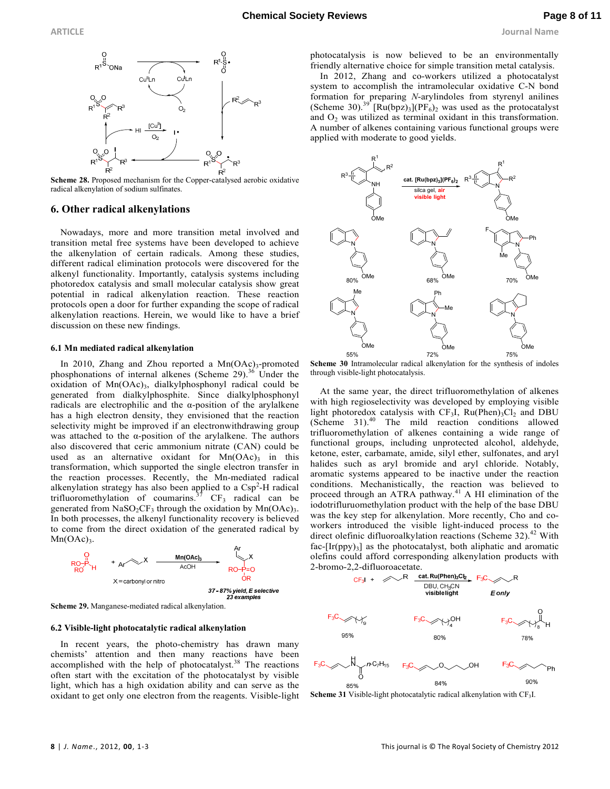

**Scheme 28.** Proposed mechanism for the Copper-catalysed aerobic oxidative radical alkenylation of sodium sulfinates.

#### **6. Other radical alkenylations**

Nowadays, more and more transition metal involved and transition metal free systems have been developed to achieve the alkenylation of certain radicals. Among these studies, different radical elimination protocols were discovered for the alkenyl functionality. Importantly, catalysis systems including photoredox catalysis and small molecular catalysis show great potential in radical alkenylation reaction. These reaction protocols open a door for further expanding the scope of radical alkenylation reactions. Herein, we would like to have a brief discussion on these new findings.

#### **6.1 Mn mediated radical alkenylation**

In 2010, Zhang and Zhou reported a Mn(OAc)<sub>3</sub>-promoted phosphonations of internal alkenes (Scheme 29). $36$  Under the oxidation of Mn(OAc)<sub>3</sub>, dialkylphosphonyl radical could be generated from dialkylphosphite. Since dialkylphosphonyl radicals are electrophilic and the  $\alpha$ -position of the arylalkene has a high electron density, they envisioned that the reaction selectivity might be improved if an electronwithdrawing group was attached to the  $\alpha$ -position of the arylalkene. The authors also discovered that ceric ammonium nitrate (CAN) could be used as an alternative oxidant for  $Mn(OAc)$ <sub>3</sub> in this transformation, which supported the single electron transfer in the reaction processes. Recently, the Mn-mediated radical alkenylation strategy has also been applied to a Csp<sup>2</sup>-H radical trifluoromethylation of coumarins.<sup>37</sup>  $CF_3$  radical can be generated from  $NaSO_2CF_3$  through the oxidation by  $Mn(OAc)_3$ . In both processes, the alkenyl functionality recovery is believed to come from the direct oxidation of the generated radical by  $Mn(OAc)<sub>3</sub>$ .



**Scheme 29.** Manganese-mediated radical alkenylation.

#### **6.2 Visible-light photocatalytic radical alkenylation**

In recent years, the photo-chemistry has drawn many chemists' attention and then many reactions have been accomplished with the help of photocatalyst.<sup>38</sup> The reactions often start with the excitation of the photocatalyst by visible light, which has a high oxidation ability and can serve as the oxidant to get only one electron from the reagents. Visible-light photocatalysis is now believed to be an environmentally friendly alternative choice for simple transition metal catalysis.

In 2012, Zhang and co-workers utilized a photocatalyst system to accomplish the intramolecular oxidative C-N bond formation for preparing *N*-arylindoles from styrenyl anilines (Scheme 30).<sup>39</sup> [Ru(bpz)<sub>3</sub>](PF<sub>6</sub>)<sub>2</sub> was used as the protocatalyst and  $O_2$  was utilized as terminal oxidant in this transformation. A number of alkenes containing various functional groups were applied with moderate to good yields.



**Scheme 30** Intramolecular radical alkenylation for the synthesis of indoles through visible-light photocatalysis.

At the same year, the direct trifluoromethylation of alkenes with high regioselectivity was developed by employing visible light photoredox catalysis with  $CF_3I$ ,  $Ru(Phen)_3Cl_2$  and DBU (Scheme 31).<sup>40</sup> The mild reaction conditions allowed trifluoromethylation of alkenes containing a wide range of functional groups, including unprotected alcohol, aldehyde, ketone, ester, carbamate, amide, silyl ether, sulfonates, and aryl halides such as aryl bromide and aryl chloride. Notably, aromatic systems appeared to be inactive under the reaction conditions. Mechanistically, the reaction was believed to proceed through an ATRA pathway.<sup>41</sup> A HI elimination of the iodotrifluruomethylation product with the help of the base DBU was the key step for alkenylation. More recently, Cho and coworkers introduced the visible light-induced process to the direct olefinic difluoroalkylation reactions (Scheme 32).<sup>42</sup> With  $fac-[Ir(ppy)_3]$  as the photocatalyst, both aliphatic and aromatic olefins could afford corresponding alkenylation products with



**Scheme 31** Visible-light photocatalytic radical alkenylation with CF<sub>3</sub>I.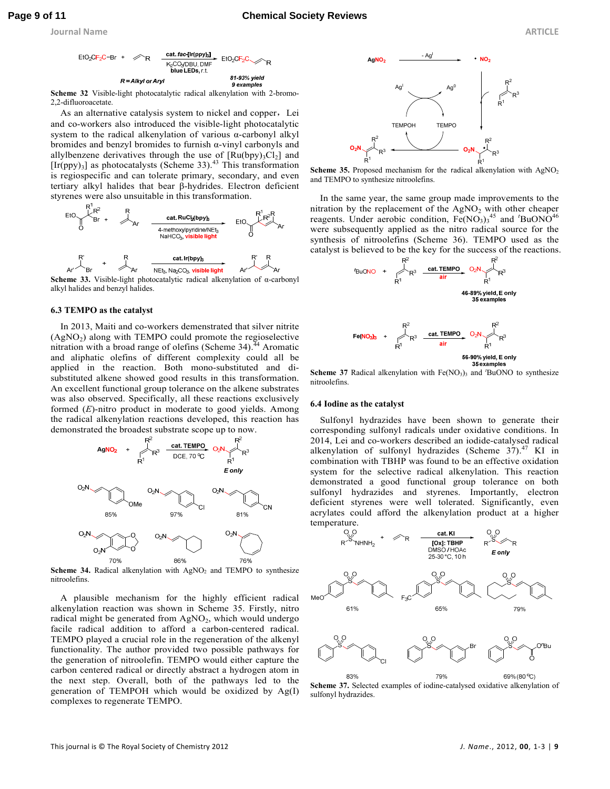**Journal Name ARTICLE** 



**Scheme 32** Visible-light photocatalytic radical alkenylation with 2-bromo-2,2-difluoroacetate.

As an alternative catalysis system to nickel and copper, Lei and co-workers also introduced the visible-light photocatalytic system to the radical alkenylation of various α-carbonyl alkyl bromides and benzyl bromides to furnish  $\alpha$ -vinyl carbonyls and allylbenzene derivatives through the use of  $[Ru(bpy)_3Cl_2]$  and  $[Ir(ppy)_3]$  as photocatalysts (Scheme 33).<sup>43</sup> This transformation is regiospecific and can tolerate primary, secondary, and even tertiary alkyl halides that bear β-hydrides. Electron deficient styrenes were also unsuitable in this transformation.



**Scheme 33.** Visible-light photocatalytic radical alkenylation of α-carbonyl alkyl halides and benzyl halides.

#### **6.3 TEMPO as the catalyst**

In 2013, Maiti and co-workers demenstrated that silver nitrite (AgNO<sup>2</sup> ) along with TEMPO could promote the regioselective nitration with a broad range of olefins (Scheme 34). <sup>44</sup> Aromatic and aliphatic olefins of different complexity could all be applied in the reaction. Both mono-substituted and disubstituted alkene showed good results in this transformation. An excellent functional group tolerance on the alkene substrates was also observed. Specifically, all these reactions exclusively formed (*E*)-nitro product in moderate to good yields. Among the radical alkenylation reactions developed, this reaction has demonstrated the broadest substrate scope up to now.



Scheme 34. Radical alkenylation with AgNO<sub>2</sub> and TEMPO to synthesize nitroolefins.

A plausible mechanism for the highly efficient radical alkenylation reaction was shown in Scheme 35. Firstly, nitro radical might be generated from AgNO<sub>2</sub>, which would undergo facile radical addition to afford a carbon-centered radical. TEMPO played a crucial role in the regeneration of the alkenyl functionality. The author provided two possible pathways for the generation of nitroolefin. TEMPO would either capture the carbon centered radical or directly abstract a hydrogen atom in the next step. Overall, both of the pathways led to the generation of TEMPOH which would be oxidized by Ag(I) complexes to regenerate TEMPO.



**Scheme 35.** Proposed mechanism for the radical alkenylation with AgNO<sub>2</sub> and TEMPO to synthesize nitroolefins.

In the same year, the same group made improvements to the nitration by the replacement of the  $AgNO<sub>2</sub>$  with other cheaper reagents. Under aerobic condition, Fe(NO<sub>3</sub>)<sub>3</sub><sup>45</sup> and <sup>*t*</sup>BuONO<sup>46</sup> were subsequently applied as the nitro radical source for the synthesis of nitroolefins (Scheme 36). TEMPO used as the catalyst is believed to be the key for the success of the reactions.





**Scheme 37** Radical alkenylation with Fe(NO<sub>3</sub>)<sub>3</sub> and *'BuONO* to synthesize nitroolefins.

#### **6.4 Iodine as the catalyst**

Sulfonyl hydrazides have been shown to generate their corresponding sulfonyl radicals under oxidative conditions. In 2014, Lei and co-workers described an iodide-catalysed radical alkenylation of sulfonyl hydrazides (Scheme  $37$ ).<sup>47</sup> KI in combination with TBHP was found to be an effective oxidation system for the selective radical alkenylation. This reaction demonstrated a good functional group tolerance on both sulfonyl hydrazides and styrenes. Importantly, electron deficient styrenes were well tolerated. Significantly, even acrylates could afford the alkenylation product at a higher temperature.



83% 79% 69% (80 °C) **Scheme 37.** Selected examples of iodine-catalysed oxidative alkenylation of sulfonyl hydrazides.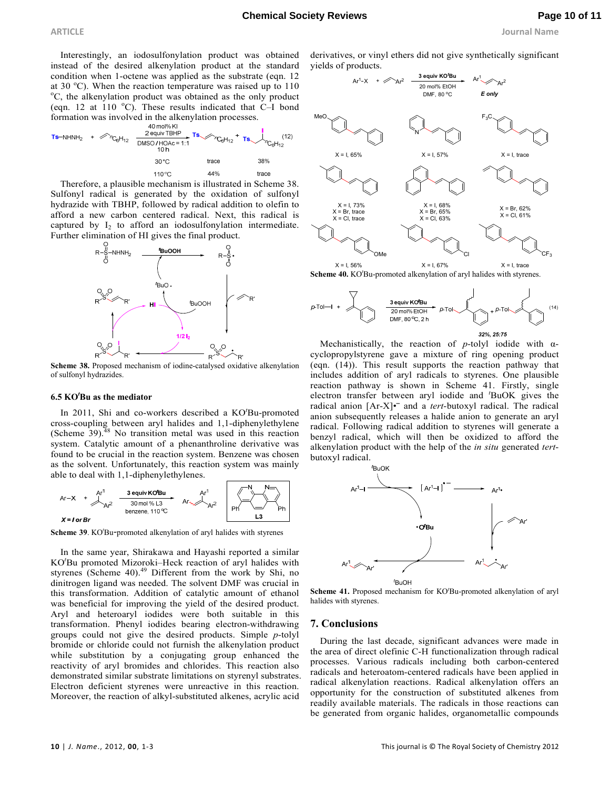**ARTICLE Journal Name**

Interestingly, an iodosulfonylation product was obtained instead of the desired alkenylation product at the standard condition when 1-octene was applied as the substrate (eqn. 12 at 30  $^{\circ}$ C). When the reaction temperature was raised up to 110  $\rm{^oC}$ , the alkenylation product was obtained as the only product (eqn. 12 at 110  $^{\circ}$ C). These results indicated that C–I bond formation was involved in the alkenylation processes.

Therefore, a plausible mechanism is illustrated in Scheme 38. Sulfonyl radical is generated by the oxidation of sulfonyl hydrazide with TBHP, followed by radical addition to olefin to afford a new carbon centered radical. Next, this radical is captured by  $I_2$  to afford an iodosulfonylation intermediate. Further elimination of HI gives the final product.



**Scheme 38.** Proposed mechanism of iodine-catalysed oxidative alkenylation of sulfonyl hydrazides.

#### **6.5 KO***<sup>t</sup>***Bu as the mediator**

In 2011, Shi and co-workers described a KO*<sup>t</sup>*Bu-promoted cross-coupling between aryl halides and 1,1-diphenylethylene (Scheme  $39$ ).<sup>48</sup> No transition metal was used in this reaction system. Catalytic amount of a phenanthroline derivative was found to be crucial in the reaction system. Benzene was chosen as the solvent. Unfortunately, this reaction system was mainly able to deal with 1,1-diphenylethylenes.



**Scheme 39**. KO*<sup>t</sup>*Bu-promoted alkenylation of aryl halides with styrenes

In the same year, Shirakawa and Hayashi reported a similar KO*<sup>t</sup>*Bu promoted Mizoroki–Heck reaction of aryl halides with styrenes (Scheme 40). $49$  Different from the work by Shi, no dinitrogen ligand was needed. The solvent DMF was crucial in this transformation. Addition of catalytic amount of ethanol was beneficial for improving the yield of the desired product. Aryl and heteroaryl iodides were both suitable in this transformation. Phenyl iodides bearing electron-withdrawing groups could not give the desired products. Simple *p*-tolyl bromide or chloride could not furnish the alkenylation product while substitution by a conjugating group enhanced the reactivity of aryl bromides and chlorides. This reaction also demonstrated similar substrate limitations on styrenyl substrates. Electron deficient styrenes were unreactive in this reaction. Moreover, the reaction of alkyl-substituted alkenes, acrylic acid

derivatives, or vinyl ethers did not give synthetically significant yields of products.



**Scheme 40.** KO*<sup>t</sup>*Bu-promoted alkenylation of aryl halides with styrenes.



Mechanistically, the reaction of *p*-tolyl iodide with αcyclopropylstyrene gave a mixture of ring opening product (eqn. (14)). This result supports the reaction pathway that includes addition of aryl radicals to styrenes. One plausible reaction pathway is shown in Scheme 41. Firstly, single electron transfer between aryl iodide and *<sup>t</sup>*BuOK gives the radical anion [Ar-X]<sup>•</sup> and a *tert*-butoxyl radical. The radical anion subsequently releases a halide anion to generate an aryl radical. Following radical addition to styrenes will generate a benzyl radical, which will then be oxidized to afford the alkenylation product with the help of the *in situ* generated *tert*butoxyl radical.



**Scheme 41.** Proposed mechanism for KO*<sup>t</sup>*Bu-promoted alkenylation of aryl halides with styrenes.

#### **7. Conclusions**

During the last decade, significant advances were made in the area of direct olefinic C-H functionalization through radical processes. Various radicals including both carbon-centered radicals and heteroatom-centered radicals have been applied in radical alkenylation reactions. Radical alkenylation offers an opportunity for the construction of substituted alkenes from readily available materials. The radicals in those reactions can be generated from organic halides, organometallic compounds